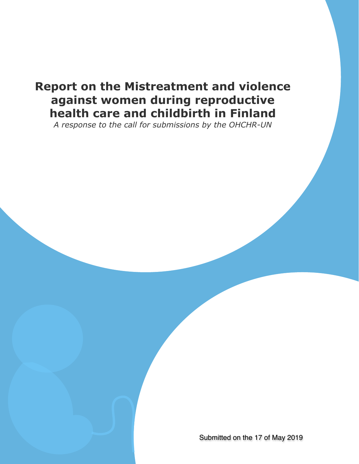# **Report on the Mistreatment and violence against women during reproductive health care and childbirth in Finland**

*A response to the call for submissions by the OHCHR-UN*

Submitted on the 17 of May 2019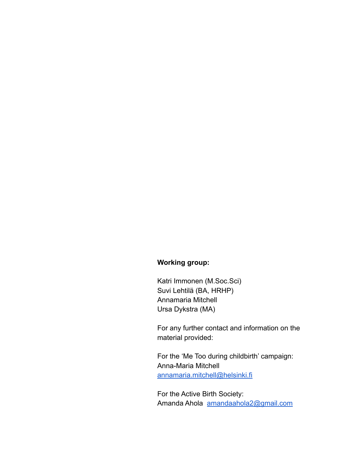## **Working group:**

Katri Immonen (M.Soc.Sci) Suvi Lehtilä (BA, HRHP) Annamaria Mitchell Ursa Dykstra (MA)

For any further contact and information on the material provided:

For the 'Me Too during childbirth' campaign: Anna-Maria Mitchell [annamaria.mitchell@helsinki.fi](mailto:Annamaria.Mitchell@Helsinki.fi) 

For the Active Birth Society: Amanda Ahola [amandaahola2@gmail.com](mailto:amandaahola2@gmail.com)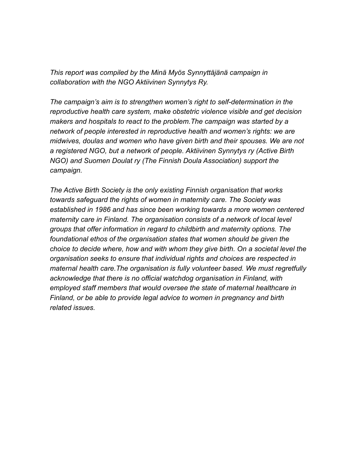*This report was compiled by the Minä Myös Synnyttäjänä campaign in collaboration with the NGO Aktiivinen Synnytys Ry.* 

*The campaign's aim is to strengthen women's right to self-determination in the reproductive health care system, make obstetric violence visible and get decision makers and hospitals to react to the problem.The campaign was started by a network of people interested in reproductive health and women's rights: we are midwives, doulas and women who have given birth and their spouses. We are not a registered NGO, but a network of people. Aktiivinen Synnytys ry (Active Birth NGO) and Suomen Doulat ry (The Finnish Doula Association) support the campaign.* 

*The Active Birth Society is the only existing Finnish organisation that works towards safeguard the rights of women in maternity care. The Society was established in 1986 and has since been working towards a more women centered maternity care in Finland. The organisation consists of a network of local level groups that offer information in regard to childbirth and maternity options. The foundational ethos of the organisation states that women should be given the choice to decide where, how and with whom they give birth. On a societal level the organisation seeks to ensure that individual rights and choices are respected in maternal health care.The organisation is fully volunteer based. We must regretfully acknowledge that there is no official watchdog organisation in Finland, with employed staff members that would oversee the state of maternal healthcare in Finland, or be able to provide legal advice to women in pregnancy and birth related issues.*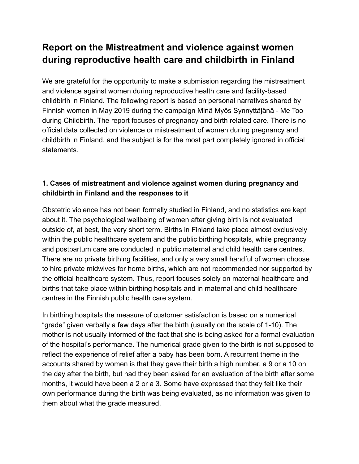## **Report on the Mistreatment and violence against women during reproductive health care and childbirth in Finland**

We are grateful for the opportunity to make a submission regarding the mistreatment and violence against women during reproductive health care and facility-based childbirth in Finland. The following report is based on personal narratives shared by Finnish women in May 2019 during the campaign Minä Myös Synnyttäjänä - Me Too during Childbirth. The report focuses of pregnancy and birth related care. There is no official data collected on violence or mistreatment of women during pregnancy and childbirth in Finland, and the subject is for the most part completely ignored in official statements.

## **1. Cases of mistreatment and violence against women during pregnancy and childbirth in Finland and the responses to it**

Obstetric violence has not been formally studied in Finland, and no statistics are kept about it. The psychological wellbeing of women after giving birth is not evaluated outside of, at best, the very short term. Births in Finland take place almost exclusively within the public healthcare system and the public birthing hospitals, while pregnancy and postpartum care are conducted in public maternal and child health care centres. There are no private birthing facilities, and only a very small handful of women choose to hire private midwives for home births, which are not recommended nor supported by the official healthcare system. Thus, report focuses solely on maternal healthcare and births that take place within birthing hospitals and in maternal and child healthcare centres in the Finnish public health care system.

In birthing hospitals the measure of customer satisfaction is based on a numerical "grade" given verbally a few days after the birth (usually on the scale of 1-10). The mother is not usually informed of the fact that she is being asked for a formal evaluation of the hospital's performance. The numerical grade given to the birth is not supposed to reflect the experience of relief after a baby has been born. A recurrent theme in the accounts shared by women is that they gave their birth a high number, a 9 or a 10 on the day after the birth, but had they been asked for an evaluation of the birth after some months, it would have been a 2 or a 3. Some have expressed that they felt like their own performance during the birth was being evaluated, as no information was given to them about what the grade measured.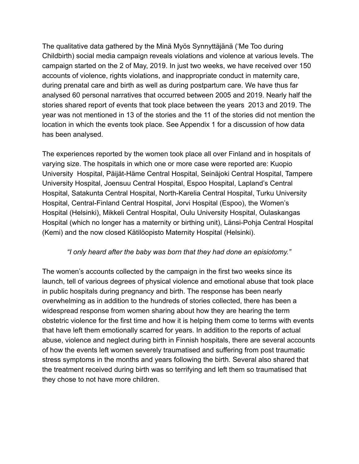The qualitative data gathered by the Minä Myös Synnyttäjänä ('Me Too during Childbirth) social media campaign reveals violations and violence at various levels. The campaign started on the 2 of May, 2019. In just two weeks, we have received over 150 accounts of violence, rights violations, and inappropriate conduct in maternity care, during prenatal care and birth as well as during postpartum care. We have thus far analysed 60 personal narratives that occurred between 2005 and 2019. Nearly half the stories shared report of events that took place between the years 2013 and 2019. The year was not mentioned in 13 of the stories and the 11 of the stories did not mention the location in which the events took place. See Appendix 1 for a discussion of how data has been analysed.

The experiences reported by the women took place all over Finland and in hospitals of varying size. The hospitals in which one or more case were reported are: Kuopio University Hospital, Päijät-Häme Central Hospital, Seinäjoki Central Hospital, Tampere University Hospital, Joensuu Central Hospital, Espoo Hospital, Lapland's Central Hospital, Satakunta Central Hospital, North-Karelia Central Hospital, Turku University Hospital, Central-Finland Central Hospital, Jorvi Hospital (Espoo), the Women's Hospital (Helsinki), Mikkeli Central Hospital, Oulu University Hospital, Oulaskangas Hospital (which no longer has a maternity or birthing unit), Länsi-Pohja Central Hospital (Kemi) and the now closed Kätilöopisto Maternity Hospital (Helsinki).

#### *"I only heard after the baby was born that they had done an episiotomy."*

The women's accounts collected by the campaign in the first two weeks since its launch, tell of various degrees of physical violence and emotional abuse that took place in public hospitals during pregnancy and birth. The response has been nearly overwhelming as in addition to the hundreds of stories collected, there has been a widespread response from women sharing about how they are hearing the term obstetric violence for the first time and how it is helping them come to terms with events that have left them emotionally scarred for years. In addition to the reports of actual abuse, violence and neglect during birth in Finnish hospitals, there are several accounts of how the events left women severely traumatised and suffering from post traumatic stress symptoms in the months and years following the birth. Several also shared that the treatment received during birth was so terrifying and left them so traumatised that they chose to not have more children.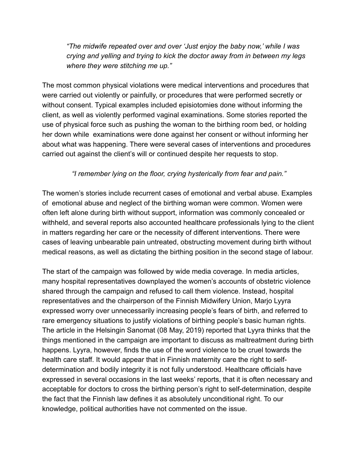*"The midwife repeated over and over 'Just enjoy the baby now,' while I was crying and yelling and trying to kick the doctor away from in between my legs where they were stitching me up."* 

The most common physical violations were medical interventions and procedures that were carried out violently or painfully, or procedures that were performed secretly or without consent. Typical examples included episiotomies done without informing the client, as well as violently performed vaginal examinations. Some stories reported the use of physical force such as pushing the woman to the birthing room bed, or holding her down while examinations were done against her consent or without informing her about what was happening. There were several cases of interventions and procedures carried out against the client's will or continued despite her requests to stop.

### *"I remember lying on the floor, crying hysterically from fear and pain."*

The women's stories include recurrent cases of emotional and verbal abuse. Examples of emotional abuse and neglect of the birthing woman were common. Women were often left alone during birth without support, information was commonly concealed or withheld, and several reports also accounted healthcare professionals lying to the client in matters regarding her care or the necessity of different interventions. There were cases of leaving unbearable pain untreated, obstructing movement during birth without medical reasons, as well as dictating the birthing position in the second stage of labour.

The start of the campaign was followed by wide media coverage. In media articles, many hospital representatives downplayed the women's accounts of obstetric violence shared through the campaign and refused to call them violence. Instead, hospital representatives and the chairperson of the Finnish Midwifery Union, Marjo Lyyra expressed worry over unnecessarily increasing people's fears of birth, and referred to rare emergency situations to justify violations of birthing people's basic human rights. The article in the Helsingin Sanomat (08 May, 2019) reported that Lyyra thinks that the things mentioned in the campaign are important to discuss as maltreatment during birth happens. Lyyra, however, finds the use of the word violence to be cruel towards the health care staff. It would appear that in Finnish maternity care the right to selfdetermination and bodily integrity it is not fully understood. Healthcare officials have expressed in several occasions in the last weeks' reports, that it is often necessary and acceptable for doctors to cross the birthing person's right to self-determination, despite the fact that the Finnish law defines it as absolutely unconditional right. To our knowledge, political authorities have not commented on the issue.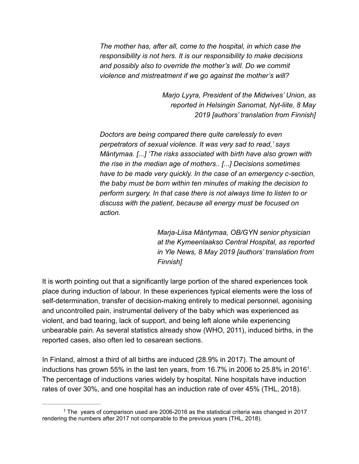*The mother has, after all, come to the hospital, in which case the responsibility is not hers. It is our responsibility to make decisions and possibly also to override the mother's will. Do we commit violence and mistreatment if we go against the mother's will?* 

> *Marjo Lyyra, President of the Midwives' Union, as reported in Helsingin Sanomat, Nyt-liite, 8 May 2019 [authors' translation from Finnish]*

*Doctors are being compared there quite carelessly to even perpetrators of sexual violence. It was very sad to read,' says Mäntymaa. [...] 'The risks associated with birth have also grown with the rise in the median age of mothers.. [...] Decisions sometimes have to be made very quickly. In the case of an emergency c-section, the baby must be born within ten minutes of making the decision to perform surgery. In that case there is not always time to listen to or discuss with the patient, because all energy must be focused on action.* 

> *Marja-Liisa Mäntymaa, OB/GYN senior physician at the Kymeenlaakso Central Hospital, as reported in Yle News, 8 May 2019 [authors' translation from Finnish]*

It is worth pointing out that a significantly large portion of the shared experiences took place during induction of labour. In these experiences typical elements were the loss of self-determination, transfer of decision-making entirely to medical personnel, agonising and uncontrolled pain, instrumental delivery of the baby which was experienced as violent, and bad tearing, lack of support, and being left alone while experiencing unbearable pain. As several statistics already show (WHO, 2011), induced births, in the reported cases, also often led to cesarean sections.

In Finland, almost a third of all births are induced (28.9% in 2017). The amount of inductions has grown 55% in the last ten years, from 16.7% in 2006 to 25.8% in 2016<sup>1</sup>. The percentage of inductions varies widely by hospital. Nine hospitals have induction rates of over 30%, and one hospital has an induction rate of over 45% (THL, 2018).

<sup>&</sup>lt;sup>1</sup> The years of comparison used are 2006-2016 as the statistical criteria was changed in 2017 rendering the numbers after 2017 not comparable to the previous years (THL, 2018).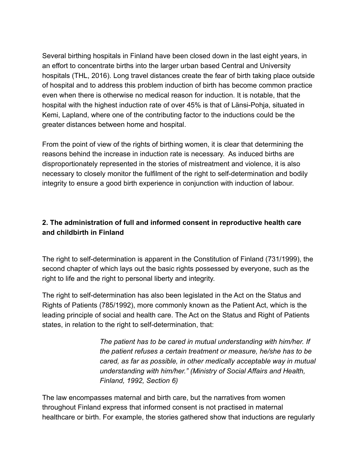Several birthing hospitals in Finland have been closed down in the last eight years, in an effort to concentrate births into the larger urban based Central and University hospitals (THL, 2016). Long travel distances create the fear of birth taking place outside of hospital and to address this problem induction of birth has become common practice even when there is otherwise no medical reason for induction. It is notable, that the hospital with the highest induction rate of over 45% is that of Länsi-Pohja, situated in Kemi, Lapland, where one of the contributing factor to the inductions could be the greater distances between home and hospital.

From the point of view of the rights of birthing women, it is clear that determining the reasons behind the increase in induction rate is necessary. As induced births are disproportionately represented in the stories of mistreatment and violence, it is also necessary to closely monitor the fulfilment of the right to self-determination and bodily integrity to ensure a good birth experience in conjunction with induction of labour.

## **2. The administration of full and informed consent in reproductive health care and childbirth in Finland**

The right to self-determination is apparent in the Constitution of Finland (731/1999), the second chapter of which lays out the basic rights possessed by everyone, such as the right to life and the right to personal liberty and integrity.

The right to self-determination has also been legislated in the Act on the Status and Rights of Patients (785/1992), more commonly known as the Patient Act, which is the leading principle of social and health care. The Act on the Status and Right of Patients states, in relation to the right to self-determination, that:

> *The patient has to be cared in mutual understanding with him/her. If the patient refuses a certain treatment or measure, he/she has to be cared, as far as possible, in other medically acceptable way in mutual understanding with him/her." (Ministry of Social Affairs and Health, Finland, 1992, Section 6)*

The law encompasses maternal and birth care, but the narratives from women throughout Finland express that informed consent is not practised in maternal healthcare or birth. For example, the stories gathered show that inductions are regularly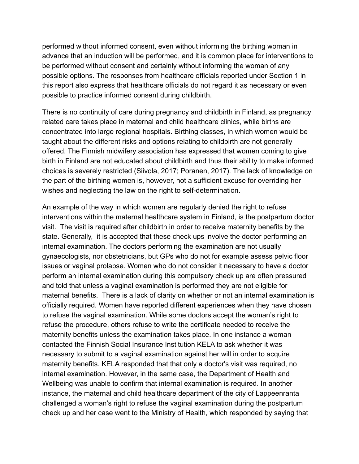performed without informed consent, even without informing the birthing woman in advance that an induction will be performed, and it is common place for interventions to be performed without consent and certainly without informing the woman of any possible options. The responses from healthcare officials reported under Section 1 in this report also express that healthcare officials do not regard it as necessary or even possible to practice informed consent during childbirth.

There is no continuity of care during pregnancy and childbirth in Finland, as pregnancy related care takes place in maternal and child healthcare clinics, while births are concentrated into large regional hospitals. Birthing classes, in which women would be taught about the different risks and options relating to childbirth are not generally offered. The Finnish midwifery association has expressed that women coming to give birth in Finland are not educated about childbirth and thus their ability to make informed choices is severely restricted (Siivola, 2017; Poranen, 2017). The lack of knowledge on the part of the birthing women is, however, not a sufficient excuse for overriding her wishes and neglecting the law on the right to self-determination.

An example of the way in which women are regularly denied the right to refuse interventions within the maternal healthcare system in Finland, is the postpartum doctor visit. The visit is required after childbirth in order to receive maternity benefits by the state. Generally, it is accepted that these check ups involve the doctor performing an internal examination. The doctors performing the examination are not usually gynaecologists, nor obstetricians, but GPs who do not for example assess pelvic floor issues or vaginal prolapse. Women who do not consider it necessary to have a doctor perform an internal examination during this compulsory check up are often pressured and told that unless a vaginal examination is performed they are not eligible for maternal benefits. There is a lack of clarity on whether or not an internal examination is officially required. Women have reported different experiences when they have chosen to refuse the vaginal examination. While some doctors accept the woman's right to refuse the procedure, others refuse to write the certificate needed to receive the maternity benefits unless the examination takes place. In one instance a woman contacted the Finnish Social Insurance Institution KELA to ask whether it was necessary to submit to a vaginal examination against her will in order to acquire maternity benefits. KELA responded that that only a doctor's visit was required, no internal examination. However, in the same case, the Department of Health and Wellbeing was unable to confirm that internal examination is required. In another instance, the maternal and child healthcare department of the city of Lappeenranta challenged a woman's right to refuse the vaginal examination during the postpartum check up and her case went to the Ministry of Health, which responded by saying that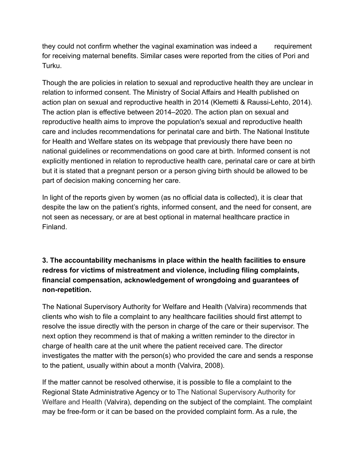they could not confirm whether the vaginal examination was indeed a requirement for receiving maternal benefits. Similar cases were reported from the cities of Pori and Turku.

Though the are policies in relation to sexual and reproductive health they are unclear in relation to informed consent. The Ministry of Social Affairs and Health published on action plan on sexual and reproductive health in 2014 (Klemetti & Raussi-Lehto, 2014). The action plan is effective between 2014–2020. The action plan on sexual and reproductive health aims to improve the population's sexual and reproductive health care and includes recommendations for perinatal care and birth. The National Institute for Health and Welfare states on its webpage that previously there have been no national guidelines or recommendations on good care at birth. Informed consent is not explicitly mentioned in relation to reproductive health care, perinatal care or care at birth but it is stated that a pregnant person or a person giving birth should be allowed to be part of decision making concerning her care.

In light of the reports given by women (as no official data is collected), it is clear that despite the law on the patient's rights, informed consent, and the need for consent, are not seen as necessary, or are at best optional in maternal healthcare practice in Finland.

## **3. The accountability mechanisms in place within the health facilities to ensure redress for victims of mistreatment and violence, including filing complaints, financial compensation, acknowledgement of wrongdoing and guarantees of non-repetition.**

The National Supervisory Authority for Welfare and Health (Valvira) recommends that clients who wish to file a complaint to any healthcare facilities should first attempt to resolve the issue directly with the person in charge of the care or their supervisor. The next option they recommend is that of making a written reminder to the director in charge of health care at the unit where the patient received care. The director investigates the matter with the person(s) who provided the care and sends a response to the patient, usually within about a month (Valvira, 2008).

If the matter cannot be resolved otherwise, it is possible to file a complaint to the Regional State Administrative Agency or to The National Supervisory Authority for Welfare and Health (Valvira), depending on the subject of the complaint. The complaint may be free-form or it can be based on the provided complaint form. As a rule, the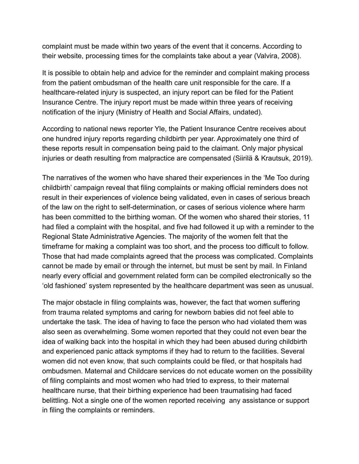complaint must be made within two years of the event that it concerns. According to their website, processing times for the complaints take about a year (Valvira, 2008).

It is possible to obtain help and advice for the reminder and complaint making process from the patient ombudsman of the health care unit responsible for the care. If a healthcare-related injury is suspected, an injury report can be filed for the Patient Insurance Centre. The injury report must be made within three years of receiving notification of the injury (Ministry of Health and Social Affairs, undated).

According to national news reporter Yle, the Patient Insurance Centre receives about one hundred injury reports regarding childbirth per year. Approximately one third of these reports result in compensation being paid to the claimant. Only major physical injuries or death resulting from malpractice are compensated (Siirilä & Krautsuk, 2019).

The narratives of the women who have shared their experiences in the 'Me Too during childbirth' campaign reveal that filing complaints or making official reminders does not result in their experiences of violence being validated, even in cases of serious breach of the law on the right to self-determination, or cases of serious violence where harm has been committed to the birthing woman. Of the women who shared their stories, 11 had filed a complaint with the hospital, and five had followed it up with a reminder to the Regional State Administrative Agencies. The majority of the women felt that the timeframe for making a complaint was too short, and the process too difficult to follow. Those that had made complaints agreed that the process was complicated. Complaints cannot be made by email or through the internet, but must be sent by mail. In Finland nearly every official and government related form can be compiled electronically so the 'old fashioned' system represented by the healthcare department was seen as unusual.

The major obstacle in filing complaints was, however, the fact that women suffering from trauma related symptoms and caring for newborn babies did not feel able to undertake the task. The idea of having to face the person who had violated them was also seen as overwhelming. Some women reported that they could not even bear the idea of walking back into the hospital in which they had been abused during childbirth and experienced panic attack symptoms if they had to return to the facilities. Several women did not even know, that such complaints could be filed, or that hospitals had ombudsmen. Maternal and Childcare services do not educate women on the possibility of filing complaints and most women who had tried to express, to their maternal healthcare nurse, that their birthing experience had been traumatising had faced belittling. Not a single one of the women reported receiving any assistance or support in filing the complaints or reminders.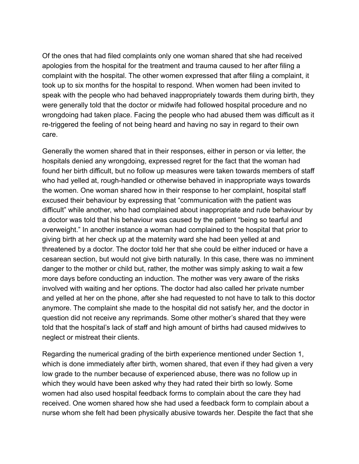Of the ones that had filed complaints only one woman shared that she had received apologies from the hospital for the treatment and trauma caused to her after filing a complaint with the hospital. The other women expressed that after filing a complaint, it took up to six months for the hospital to respond. When women had been invited to speak with the people who had behaved inappropriately towards them during birth, they were generally told that the doctor or midwife had followed hospital procedure and no wrongdoing had taken place. Facing the people who had abused them was difficult as it re-triggered the feeling of not being heard and having no say in regard to their own care.

Generally the women shared that in their responses, either in person or via letter, the hospitals denied any wrongdoing, expressed regret for the fact that the woman had found her birth difficult, but no follow up measures were taken towards members of staff who had yelled at, rough-handled or otherwise behaved in inappropriate ways towards the women. One woman shared how in their response to her complaint, hospital staff excused their behaviour by expressing that "communication with the patient was difficult" while another, who had complained about inappropriate and rude behaviour by a doctor was told that his behaviour was caused by the patient "being so tearful and overweight." In another instance a woman had complained to the hospital that prior to giving birth at her check up at the maternity ward she had been yelled at and threatened by a doctor. The doctor told her that she could be either induced or have a cesarean section, but would not give birth naturally. In this case, there was no imminent danger to the mother or child but, rather, the mother was simply asking to wait a few more days before conducting an induction. The mother was very aware of the risks involved with waiting and her options. The doctor had also called her private number and yelled at her on the phone, after she had requested to not have to talk to this doctor anymore. The complaint she made to the hospital did not satisfy her, and the doctor in question did not receive any reprimands. Some other mother's shared that they were told that the hospital's lack of staff and high amount of births had caused midwives to neglect or mistreat their clients.

Regarding the numerical grading of the birth experience mentioned under Section 1, which is done immediately after birth, women shared, that even if they had given a very low grade to the number because of experienced abuse, there was no follow up in which they would have been asked why they had rated their birth so lowly. Some women had also used hospital feedback forms to complain about the care they had received. One women shared how she had used a feedback form to complain about a nurse whom she felt had been physically abusive towards her. Despite the fact that she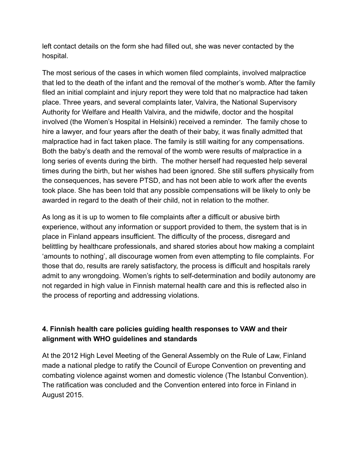left contact details on the form she had filled out, she was never contacted by the hospital.

The most serious of the cases in which women filed complaints, involved malpractice that led to the death of the infant and the removal of the mother's womb. After the family filed an initial complaint and injury report they were told that no malpractice had taken place. Three years, and several complaints later, Valvira, the National Supervisory Authority for Welfare and Health Valvira, and the midwife, doctor and the hospital involved (the Women's Hospital in Helsinki) received a reminder. The family chose to hire a lawyer, and four years after the death of their baby, it was finally admitted that malpractice had in fact taken place. The family is still waiting for any compensations. Both the baby's death and the removal of the womb were results of malpractice in a long series of events during the birth. The mother herself had requested help several times during the birth, but her wishes had been ignored. She still suffers physically from the consequences, has severe PTSD, and has not been able to work after the events took place. She has been told that any possible compensations will be likely to only be awarded in regard to the death of their child, not in relation to the mother.

As long as it is up to women to file complaints after a difficult or abusive birth experience, without any information or support provided to them, the system that is in place in Finland appears insufficient. The difficulty of the process, disregard and belittling by healthcare professionals, and shared stories about how making a complaint 'amounts to nothing', all discourage women from even attempting to file complaints. For those that do, results are rarely satisfactory, the process is difficult and hospitals rarely admit to any wrongdoing. Women's rights to self-determination and bodily autonomy are not regarded in high value in Finnish maternal health care and this is reflected also in the process of reporting and addressing violations.

## **4. Finnish health care policies guiding health responses to VAW and their alignment with WHO guidelines and standards**

At the 2012 High Level Meeting of the General Assembly on the Rule of Law, Finland made a national pledge to ratify the Council of Europe Convention on preventing and combating violence against women and domestic violence (The Istanbul Convention). The ratification was concluded and the Convention entered into force in Finland in August 2015.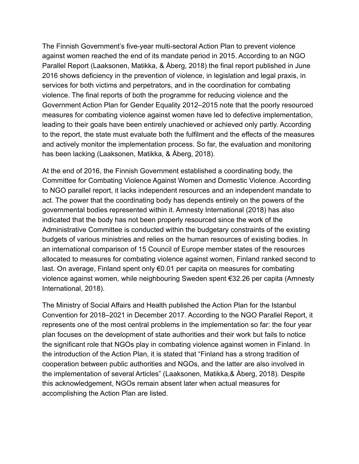The Finnish Government's five-year multi-sectoral Action Plan to prevent violence against women reached the end of its mandate period in 2015. According to an NGO Parallel Report (Laaksonen, Matikka, & Åberg, 2018) the final report published in June 2016 shows deficiency in the prevention of violence, in legislation and legal praxis, in services for both victims and perpetrators, and in the coordination for combating violence. The final reports of both the programme for reducing violence and the Government Action Plan for Gender Equality 2012–2015 note that the poorly resourced measures for combating violence against women have led to defective implementation, leading to their goals have been entirely unachieved or achieved only partly. According to the report, the state must evaluate both the fulfilment and the effects of the measures and actively monitor the implementation process. So far, the evaluation and monitoring has been lacking (Laaksonen, Matikka, & Åberg, 2018).

At the end of 2016, the Finnish Government established a coordinating body, the Committee for Combating Violence Against Women and Domestic Violence. According to NGO parallel report, it lacks independent resources and an independent mandate to act. The power that the coordinating body has depends entirely on the powers of the governmental bodies represented within it. Amnesty International (2018) has also indicated that the body has not been properly resourced since the work of the Administrative Committee is conducted within the budgetary constraints of the existing budgets of various ministries and relies on the human resources of existing bodies. In an international comparison of 15 Council of Europe member states of the resources allocated to measures for combating violence against women, Finland ranked second to last. On average, Finland spent only €0.01 per capita on measures for combating violence against women, while neighbouring Sweden spent €32.26 per capita (Amnesty International, 2018).

The Ministry of Social Affairs and Health published the Action Plan for the Istanbul Convention for 2018–2021 in December 2017. According to the NGO Parallel Report, it represents one of the most central problems in the implementation so far: the four year plan focuses on the development of state authorities and their work but fails to notice the significant role that NGOs play in combating violence against women in Finland. In the introduction of the Action Plan, it is stated that "Finland has a strong tradition of cooperation between public authorities and NGOs, and the latter are also involved in the implementation of several Articles" (Laaksonen, Matikka,& Åberg, 2018). Despite this acknowledgement, NGOs remain absent later when actual measures for accomplishing the Action Plan are listed.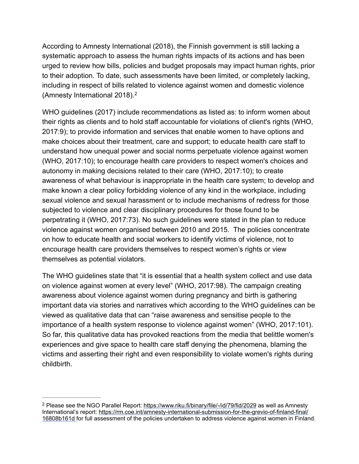According to Amnesty International (2018), the Finnish government is still lacking a systematic approach to assess the human rights impacts of its actions and has been urged to review how bills, policies and budget proposals may impact human rights, prior to their adoption. To date, such assessments have been limited, or completely lacking, including in respect of bills related to violence against women and domestic violence (Amnesty International 2018).2

WHO guidelines (2017) include recommendations as listed as: to inform women about their rights as clients and to hold staff accountable for violations of client's rights (WHO, 2017:9); to provide information and services that enable women to have options and make choices about their treatment, care and support; to educate health care staff to understand how unequal power and social norms perpetuate violence against women (WHO, 2017:10); to encourage health care providers to respect women's choices and autonomy in making decisions related to their care (WHO, 2017:10); to create awareness of what behaviour is inappropriate in the health care system; to develop and make known a clear policy forbidding violence of any kind in the workplace, including sexual violence and sexual harassment or to include mechanisms of redress for those subjected to violence and clear disciplinary procedures for those found to be perpetrating it (WHO, 2017:73). No such guidelines were stated in the plan to reduce violence against women organised between 2010 and 2015. The policies concentrate on how to educate health and social workers to identify victims of violence, not to encourage health care providers themselves to respect women's rights or view themselves as potential violators.

The WHO guidelines state that "it is essential that a health system collect and use data on violence against women at every level" (WHO, 2017:98). The campaign creating awareness about violence against women during pregnancy and birth is gathering important data via stories and narratives which according to the WHO guidelines can be viewed as qualitative data that can "raise awareness and sensitise people to the importance of a health system response to violence against women" (WHO, 2017:101). So far, this qualitative data has provoked reactions from the media that belittle women's experiences and give space to health care staff denying the phenomena, blaming the victims and asserting their right and even responsibility to violate women's rights during childbirth.

<sup>&</sup>lt;sup>2</sup> Please see the NGO Parallel Report:<https://www.riku.fi/binary/file/-/id/79/fid/2029> as well as Amnesty International's report: https://rm.coe.int/amnesty-international-submission-for-the-grevio-of-finland-final/ [16808b161d for full assessment of the policies undertaken to address violence against women in Finlan](https://rm.coe.int/amnesty-international-submission-for-the-grevio-of-finland-final/16808b161d)d.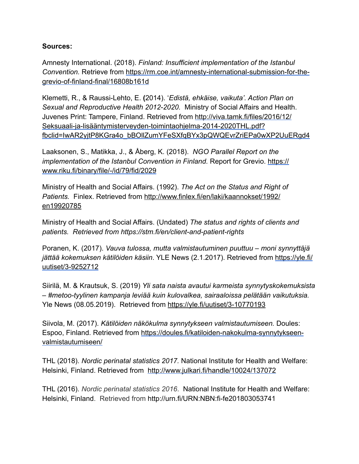#### **Sources:**

Amnesty International. (2018). *Finland: Insufficient implementation of the Istanbul Convention.* Retrieve from [https://rm.coe.int/amnesty-international-submission-for-the](https://rm.coe.int/amnesty-international-submission-for-the-grevio-of-finland-final/16808b161d)grevio-of-finland-final/16808b161d

Klemetti, R., & Raussi-Lehto, E. **(**2014). '*Edistä, ehkäise, vaikuta'. Action Plan on Sexual and Reproductive Health 2012-2020.* Ministry of Social Affairs and Health. Juvenes Print: Tampere, Finland. Retrieved from http://viva.tamk.fi/files/2016/12/ Seksuaali-ja-lisääntymisterveyden-toimintaohjelma-2014-2020THL.pdf? [fbclid=IwAR2yjtP8KGra4o\\_bBOllZumYFeSXfqBYx3pQWQEvrZriEPa0wXP2UuERgd4](http://viva.tamk.fi/files/2016/12/Seksuaali-ja-lis%25C3%25A4%25C3%25A4ntymisterveyden-toimintaohjelma-2014-2020THL.pdf?fbclid=IwAR2yjtP8KGra4o_bBOllZumYFeSXfqBYx3pQWQEvrZriEPa0wXP2UuERgd4) 

Laaksonen, S., Matikka, J., & Åberg, K. (2018). *NGO Parallel Report on the implementation of the Istanbul Convention in Finland.* Report for Grevio. https:// www.riku.fi/binary/file/-/id/79/fid/2029

Ministry of Health and Social Affairs. (1992). *The Act on the Status and Right of Patients.* [Finlex. Retrieved from http://www.finlex.fi/en/laki/kaannokset/1992/](http://www.finlex.fi/en/laki/kaannokset/1992/en19920785) en19920785

Ministry of Health and Social Affairs. (Undated) *The status and rights of clients and patients. Retrieved from https://stm.fi/en/client-and-patient-rights* 

Poranen, K. (2017). *Vauva tulossa, mutta valmistautuminen puuttuu – moni synnyttäjä jättää kokemuksen kätilöiden käsiin*[. YLE News \(2.1.2017\). Retrieved from](https://yle.fi/uutiset/3-9252712) [http](https://yle.fi/uutiset/3-9252712)s://yle.fi/ uutiset/3-9252712

Siirilä, M. & Krautsuk, S. (2019) *Yli sata naista avautui karmeista synnytyskokemuksista – #metoo-tyylinen kampanja leviää kuin kulovalkea, sairaaloissa pelätään vaikutuksia.*  Yle News (08.05.2019). Retrieved from<https://yle.fi/uutiset/3-10770193>

Siivola, M. (2017). *Kätilöiden näkökulma synnytykseen valmistautumiseen.* Doules: [Espoo, Finland. Retrieved from https://doules.fi/katiloiden-nakokulma-synnytykseen](https://doules.fi/katiloiden-nakokulma-synnytykseen-valmistautumiseen/)valmistautumiseen/

THL (2018). *Nordic perinatal statistics 2017.* National Institute for Health and Welfare: Helsinki, Finland. Retrieved from <http://www.julkari.fi/handle/10024/137072>

THL (2016). *Nordic perinatal statistics 2016*. National Institute for Health and Welfare: Helsinki, Finland. Retrieved from<http://urn.fi/URN:NBN:fi-fe201803053741>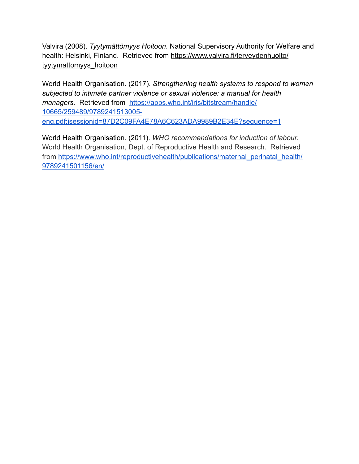Valvira (2008). *Tyytymättömyys Hoitoon*. National Supervisory Authority for Welfare and [health: Helsinki, Finland. Retrieved from https://www.valvira.fi/terveydenhuolto/](https://www.valvira.fi/terveydenhuolto/tyytymattomyys_hoitoon) tyytymattomyys\_hoitoon

World Health Organisation. (2017). *Strengthening health systems to respond to women subjected to intimate partner violence or sexual violence: a manual for health*  managers. Retrieved from https://apps.who.int/iris/bitstream/handle/ 10665/259489/9789241513005 [eng.pdf;jsessionid=87D2C09FA4E78A6C623ADA9989B2E34E?sequence=1](https://apps.who.int/iris/bitstream/handle/10665/259489/9789241513005-eng.pdf;jsessionid=87D2C09FA4E78A6C623ADA9989B2E34E?sequence=1)

World Health Organisation. (2011). *WHO recommendations for induction of labour.*  World Health Organisation, Dept. of Reproductive Health and Research. Retrieved [from https://www.who.int/reproductivehealth/publications/maternal\\_perinatal\\_health/](https://www.who.int/reproductivehealth/publications/maternal_perinatal_health/9789241501156/en/) 9789241501156/en/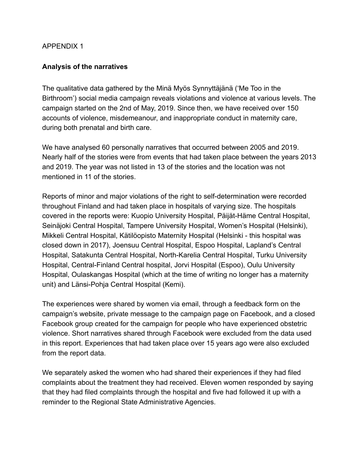#### APPENDIX 1

#### **Analysis of the narratives**

The qualitative data gathered by the Minä Myös Synnyttäjänä ('Me Too in the Birthroom') social media campaign reveals violations and violence at various levels. The campaign started on the 2nd of May, 2019. Since then, we have received over 150 accounts of violence, misdemeanour, and inappropriate conduct in maternity care, during both prenatal and birth care.

We have analysed 60 personally narratives that occurred between 2005 and 2019. Nearly half of the stories were from events that had taken place between the years 2013 and 2019. The year was not listed in 13 of the stories and the location was not mentioned in 11 of the stories.

Reports of minor and major violations of the right to self-determination were recorded throughout Finland and had taken place in hospitals of varying size. The hospitals covered in the reports were: Kuopio University Hospital, Päijät-Häme Central Hospital, Seinäjoki Central Hospital, Tampere University Hospital, Women's Hospital (Helsinki), Mikkeli Central Hospital, Kätilöopisto Maternity Hospital (Helsinki - this hospital was closed down in 2017), Joensuu Central Hospital, Espoo Hospital, Lapland's Central Hospital, Satakunta Central Hospital, North-Karelia Central Hospital, Turku University Hospital, Central-Finland Central hospital, Jorvi Hospital (Espoo), Oulu University Hospital, Oulaskangas Hospital (which at the time of writing no longer has a maternity unit) and Länsi-Pohja Central Hospital (Kemi).

The experiences were shared by women via email, through a feedback form on the campaign's website, private message to the campaign page on Facebook, and a closed Facebook group created for the campaign for people who have experienced obstetric violence. Short narratives shared through Facebook were excluded from the data used in this report. Experiences that had taken place over 15 years ago were also excluded from the report data.

We separately asked the women who had shared their experiences if they had filed complaints about the treatment they had received. Eleven women responded by saying that they had filed complaints through the hospital and five had followed it up with a reminder to the Regional State Administrative Agencies.